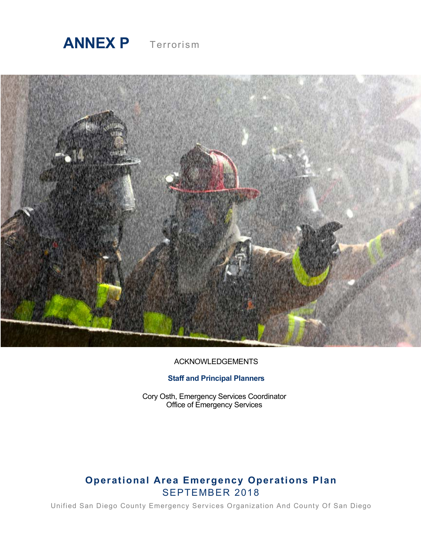



### ACKNOWLEDGEMENTS

## **Staff and Principal Planners**

Cory Osth, Emergency Services Coordinator Office of Emergency Services

# **Operational Area Emergency Operations Plan** SEPTEMBER 2018

Unified San Diego County Emergency Services Organization And County Of San Diego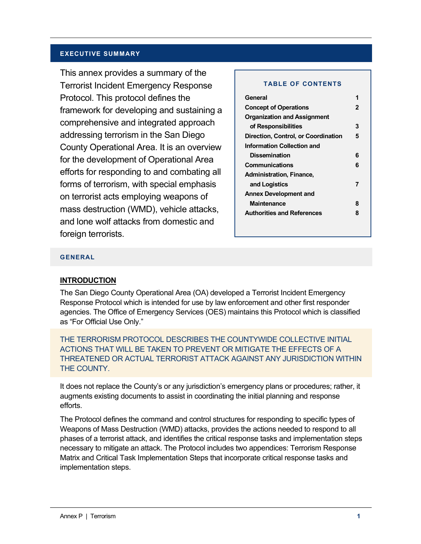#### **EXECUTIVE SUMMARY**

This annex provides a summary of the Terrorist Incident Emergency Response Protocol. This protocol defines the framework for developing and sustaining a comprehensive and integrated approach addressing terrorism in the San Diego County Operational Area. It is an overview for the development of Operational Area efforts for responding to and combating all forms of terrorism, with special emphasis on terrorist acts employing weapons of mass destruction (WMD), vehicle attacks, and lone wolf attacks from domestic and foreign terrorists.

#### **TABLE OF CONTENTS**

| General                             |   |
|-------------------------------------|---|
| <b>Concept of Operations</b>        | 2 |
| <b>Organization and Assignment</b>  |   |
| of Responsibilities                 | 3 |
| Direction, Control, or Coordination | 5 |
| Information Collection and          |   |
| <b>Dissemination</b>                | 6 |
| <b>Communications</b>               | 6 |
| <b>Administration, Finance,</b>     |   |
| and Logistics                       | 7 |
| <b>Annex Development and</b>        |   |
| <b>Maintenance</b>                  | 8 |
| <b>Authorities and References</b>   | 8 |
|                                     |   |

#### **GENERAL**

#### **INTRODUCTION**

The San Diego County Operational Area (OA) developed a Terrorist Incident Emergency Response Protocol which is intended for use by law enforcement and other first responder agencies. The Office of Emergency Services (OES) maintains this Protocol which is classified as "For Official Use Only."

THE TERRORISM PROTOCOL DESCRIBES THE COUNTYWIDE COLLECTIVE INITIAL ACTIONS THAT WILL BE TAKEN TO PREVENT OR MITIGATE THE EFFECTS OF A THREATENED OR ACTUAL TERRORIST ATTACK AGAINST ANY JURISDICTION WITHIN THE COUNTY.

It does not replace the County's or any jurisdiction's emergency plans or procedures; rather, it augments existing documents to assist in coordinating the initial planning and response efforts.

The Protocol defines the command and control structures for responding to specific types of Weapons of Mass Destruction (WMD) attacks, provides the actions needed to respond to all phases of a terrorist attack, and identifies the critical response tasks and implementation steps necessary to mitigate an attack. The Protocol includes two appendices: Terrorism Response Matrix and Critical Task Implementation Steps that incorporate critical response tasks and implementation steps.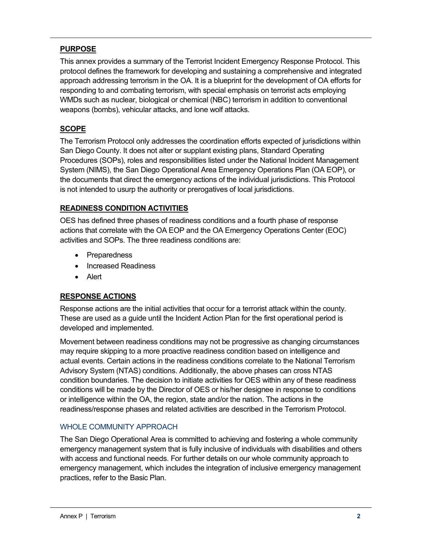## **PURPOSE**

This annex provides a summary of the Terrorist Incident Emergency Response Protocol. This protocol defines the framework for developing and sustaining a comprehensive and integrated approach addressing terrorism in the OA. It is a blueprint for the development of OA efforts for responding to and combating terrorism, with special emphasis on terrorist acts employing WMDs such as nuclear, biological or chemical (NBC) terrorism in addition to conventional weapons (bombs), vehicular attacks, and lone wolf attacks.

## **SCOPE**

The Terrorism Protocol only addresses the coordination efforts expected of jurisdictions within San Diego County. It does not alter or supplant existing plans, Standard Operating Procedures (SOPs), roles and responsibilities listed under the National Incident Management System (NIMS), the San Diego Operational Area Emergency Operations Plan (OA EOP), or the documents that direct the emergency actions of the individual jurisdictions. This Protocol is not intended to usurp the authority or prerogatives of local jurisdictions.

## **READINESS CONDITION ACTIVITIES**

OES has defined three phases of readiness conditions and a fourth phase of response actions that correlate with the OA EOP and the OA Emergency Operations Center (EOC) activities and SOPs. The three readiness conditions are:

- Preparedness
- Increased Readiness
- Alert

## **RESPONSE ACTIONS**

Response actions are the initial activities that occur for a terrorist attack within the county. These are used as a guide until the Incident Action Plan for the first operational period is developed and implemented.

Movement between readiness conditions may not be progressive as changing circumstances may require skipping to a more proactive readiness condition based on intelligence and actual events. Certain actions in the readiness conditions correlate to the National Terrorism Advisory System (NTAS) conditions. Additionally, the above phases can cross NTAS condition boundaries. The decision to initiate activities for OES within any of these readiness conditions will be made by the Director of OES or his/her designee in response to conditions or intelligence within the OA, the region, state and/or the nation. The actions in the readiness/response phases and related activities are described in the Terrorism Protocol.

## WHOLE COMMUNITY APPROACH

The San Diego Operational Area is committed to achieving and fostering a whole community emergency management system that is fully inclusive of individuals with disabilities and others with access and functional needs. For further details on our whole community approach to emergency management, which includes the integration of inclusive emergency management practices, refer to the Basic Plan.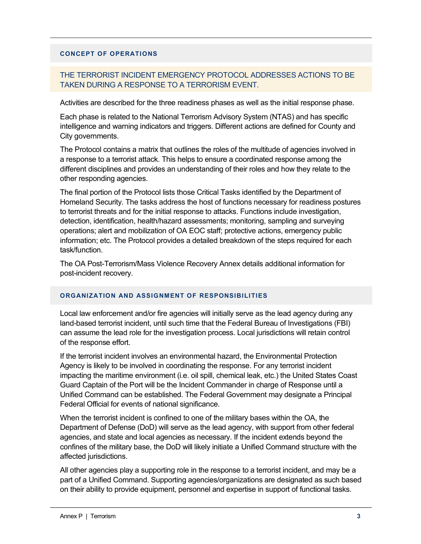#### **CONCEPT OF OPERATIONS**

## THE TERRORIST INCIDENT EMERGENCY PROTOCOL ADDRESSES ACTIONS TO BE TAKEN DURING A RESPONSE TO A TERRORISM EVENT.

Activities are described for the three readiness phases as well as the initial response phase.

Each phase is related to the National Terrorism Advisory System (NTAS) and has specific intelligence and warning indicators and triggers. Different actions are defined for County and City governments.

The Protocol contains a matrix that outlines the roles of the multitude of agencies involved in a response to a terrorist attack. This helps to ensure a coordinated response among the different disciplines and provides an understanding of their roles and how they relate to the other responding agencies.

The final portion of the Protocol lists those Critical Tasks identified by the Department of Homeland Security. The tasks address the host of functions necessary for readiness postures to terrorist threats and for the initial response to attacks. Functions include investigation, detection, identification, health/hazard assessments; monitoring, sampling and surveying operations; alert and mobilization of OA EOC staff; protective actions, emergency public information; etc. The Protocol provides a detailed breakdown of the steps required for each task/function.

The OA Post-Terrorism/Mass Violence Recovery Annex details additional information for post-incident recovery.

### **ORGANIZATION AND ASSIGNMENT OF RESPONSIBILITIES**

Local law enforcement and/or fire agencies will initially serve as the lead agency during any land-based terrorist incident, until such time that the Federal Bureau of Investigations (FBI) can assume the lead role for the investigation process. Local jurisdictions will retain control of the response effort.

If the terrorist incident involves an environmental hazard, the Environmental Protection Agency is likely to be involved in coordinating the response. For any terrorist incident impacting the maritime environment (i.e. oil spill, chemical leak, etc.) the United States Coast Guard Captain of the Port will be the Incident Commander in charge of Response until a Unified Command can be established. The Federal Government may designate a Principal Federal Official for events of national significance.

When the terrorist incident is confined to one of the military bases within the OA, the Department of Defense (DoD) will serve as the lead agency, with support from other federal agencies, and state and local agencies as necessary. If the incident extends beyond the confines of the military base, the DoD will likely initiate a Unified Command structure with the affected jurisdictions.

All other agencies play a supporting role in the response to a terrorist incident, and may be a part of a Unified Command. Supporting agencies/organizations are designated as such based on their ability to provide equipment, personnel and expertise in support of functional tasks.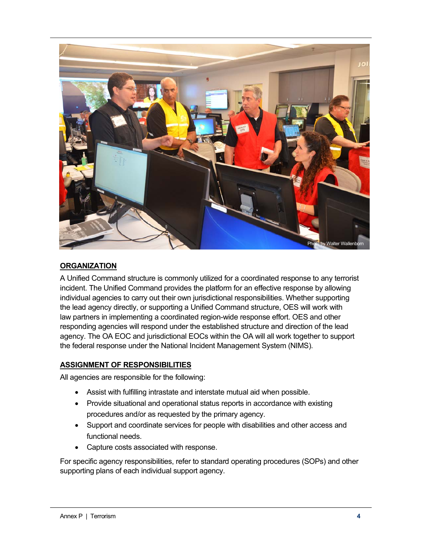

## **ORGANIZATION**

A Unified Command structure is commonly utilized for a coordinated response to any terrorist incident. The Unified Command provides the platform for an effective response by allowing individual agencies to carry out their own jurisdictional responsibilities. Whether supporting the lead agency directly, or supporting a Unified Command structure, OES will work with law partners in implementing a coordinated region-wide response effort. OES and other responding agencies will respond under the established structure and direction of the lead agency. The OA EOC and jurisdictional EOCs within the OA will all work together to support the federal response under the National Incident Management System (NIMS).

### **ASSIGNMENT OF RESPONSIBILITIES**

All agencies are responsible for the following:

- Assist with fulfilling intrastate and interstate mutual aid when possible.
- Provide situational and operational status reports in accordance with existing procedures and/or as requested by the primary agency.
- Support and coordinate services for people with disabilities and other access and functional needs.
- Capture costs associated with response.

For specific agency responsibilities, refer to standard operating procedures (SOPs) and other supporting plans of each individual support agency.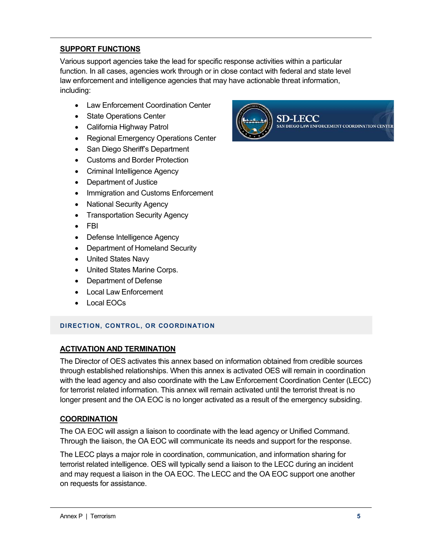## **SUPPORT FUNCTIONS**

Various support agencies take the lead for specific response activities within a particular function. In all cases, agencies work through or in close contact with federal and state level law enforcement and intelligence agencies that may have actionable threat information, including:

- Law Enforcement Coordination Center
- State Operations Center
- California Highway Patrol
- Regional Emergency Operations Center
- San Diego Sheriff's Department
- Customs and Border Protection
- Criminal Intelligence Agency
- Department of Justice
- Immigration and Customs Enforcement
- National Security Agency
- Transportation Security Agency
- FBI
- Defense Intelligence Agency
- Department of Homeland Security
- United States Navy
- United States Marine Corps.
- Department of Defense
- Local Law Enforcement
- Local EOCs

### **DIRECTION, CONTROL, OR COORDINATION**

### **ACTIVATION AND TERMINATION**

The Director of OES activates this annex based on information obtained from credible sources through established relationships. When this annex is activated OES will remain in coordination with the lead agency and also coordinate with the Law Enforcement Coordination Center (LECC) for terrorist related information. This annex will remain activated until the terrorist threat is no longer present and the OA EOC is no longer activated as a result of the emergency subsiding.

### **COORDINATION**

The OA EOC will assign a liaison to coordinate with the lead agency or Unified Command. Through the liaison, the OA EOC will communicate its needs and support for the response.

The LECC plays a major role in coordination, communication, and information sharing for terrorist related intelligence. OES will typically send a liaison to the LECC during an incident and may request a liaison in the OA EOC. The LECC and the OA EOC support one another on requests for assistance.

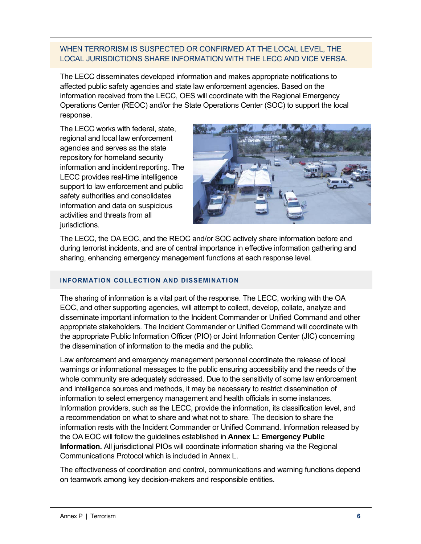## WHEN TERRORISM IS SUSPECTED OR CONFIRMED AT THE LOCAL LEVEL, THE LOCAL JURISDICTIONS SHARE INFORMATION WITH THE LECC AND VICE VERSA.

The LECC disseminates developed information and makes appropriate notifications to affected public safety agencies and state law enforcement agencies. Based on the information received from the LECC, OES will coordinate with the Regional Emergency Operations Center (REOC) and/or the State Operations Center (SOC) to support the local response.

The LECC works with federal, state, regional and local law enforcement agencies and serves as the state repository for homeland security information and incident reporting. The LECC provides real-time intelligence support to law enforcement and public safety authorities and consolidates information and data on suspicious activities and threats from all jurisdictions.



The LECC, the OA EOC, and the REOC and/or SOC actively share information before and during terrorist incidents, and are of central importance in effective information gathering and sharing, enhancing emergency management functions at each response level.

## **INFORMATION COLLECTION AND DISSEMINATION**

The sharing of information is a vital part of the response. The LECC, working with the OA EOC, and other supporting agencies, will attempt to collect, develop, collate, analyze and disseminate important information to the Incident Commander or Unified Command and other appropriate stakeholders. The Incident Commander or Unified Command will coordinate with the appropriate Public Information Officer (PIO) or Joint Information Center (JIC) concerning the dissemination of information to the media and the public.

Law enforcement and emergency management personnel coordinate the release of local warnings or informational messages to the public ensuring accessibility and the needs of the whole community are adequately addressed. Due to the sensitivity of some law enforcement and intelligence sources and methods, it may be necessary to restrict dissemination of information to select emergency management and health officials in some instances. Information providers, such as the LECC, provide the information, its classification level, and a recommendation on what to share and what not to share. The decision to share the information rests with the Incident Commander or Unified Command. Information released by the OA EOC will follow the guidelines established in **Annex L: Emergency Public Information.** All jurisdictional PIOs will coordinate information sharing via the Regional Communications Protocol which is included in Annex L.

The effectiveness of coordination and control, communications and warning functions depend on teamwork among key decision-makers and responsible entities.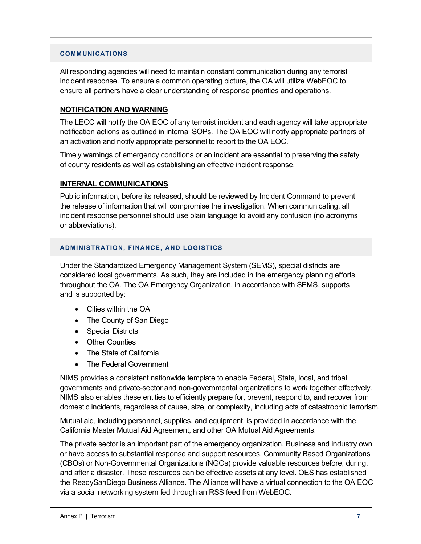#### **COMMUNICATIONS**

All responding agencies will need to maintain constant communication during any terrorist incident response. To ensure a common operating picture, the OA will utilize WebEOC to ensure all partners have a clear understanding of response priorities and operations.

### **NOTIFICATION AND WARNING**

The LECC will notify the OA EOC of any terrorist incident and each agency will take appropriate notification actions as outlined in internal SOPs. The OA EOC will notify appropriate partners of an activation and notify appropriate personnel to report to the OA EOC.

Timely warnings of emergency conditions or an incident are essential to preserving the safety of county residents as well as establishing an effective incident response.

### **INTERNAL COMMUNICATIONS**

Public information, before its released, should be reviewed by Incident Command to prevent the release of information that will compromise the investigation. When communicating, all incident response personnel should use plain language to avoid any confusion (no acronyms or abbreviations).

#### **ADMINISTRATION, FINANCE, AND LOGISTICS**

Under the Standardized Emergency Management System (SEMS), special districts are considered local governments. As such, they are included in the emergency planning efforts throughout the OA. The OA Emergency Organization, in accordance with SEMS, supports and is supported by:

- Cities within the OA
- The County of San Diego
- Special Districts
- Other Counties
- The State of California
- The Federal Government

NIMS provides a consistent nationwide template to enable Federal, State, local, and tribal governments and private-sector and non-governmental organizations to work together effectively. NIMS also enables these entities to efficiently prepare for, prevent, respond to, and recover from domestic incidents, regardless of cause, size, or complexity, including acts of catastrophic terrorism.

Mutual aid, including personnel, supplies, and equipment, is provided in accordance with the California Master Mutual Aid Agreement, and other OA Mutual Aid Agreements.

The private sector is an important part of the emergency organization. Business and industry own or have access to substantial response and support resources. Community Based Organizations (CBOs) or Non-Governmental Organizations (NGOs) provide valuable resources before, during, and after a disaster. These resources can be effective assets at any level. OES has established the ReadySanDiego Business Alliance. The Alliance will have a virtual connection to the OA EOC via a social networking system fed through an RSS feed from WebEOC.